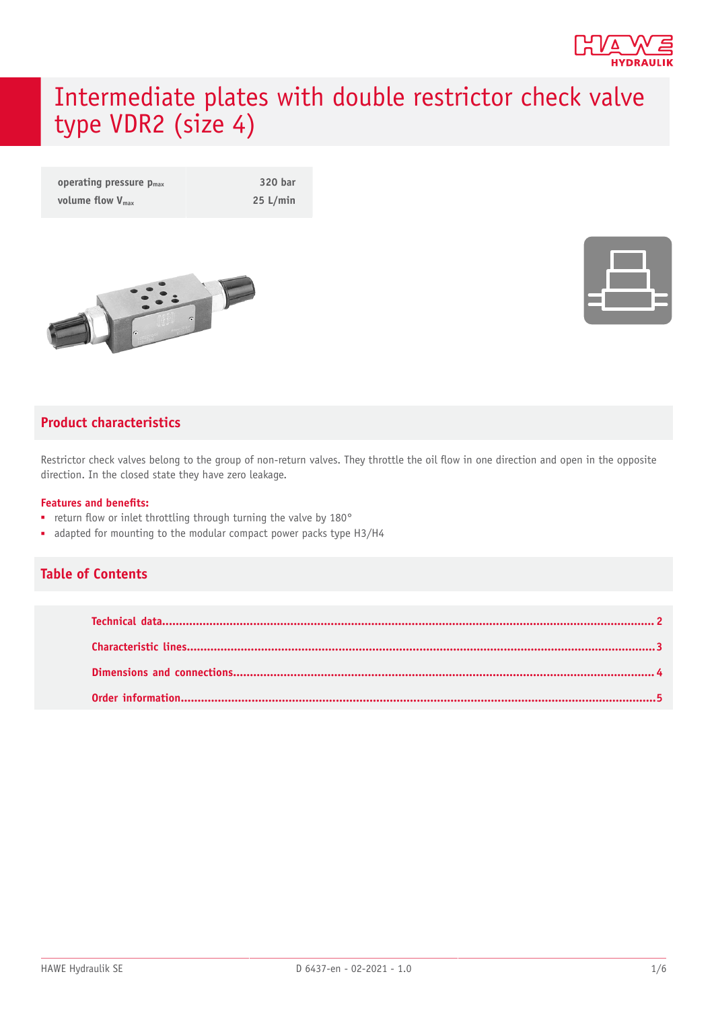

# Intermediate plates with double restrictor check valve type VDR2 (size 4)

| operating pressure $p_{max}$ | 320 bar  |
|------------------------------|----------|
| volume flow $V_{\text{max}}$ | 25 L/min |





#### **Product characteristics**

Restrictor check valves belong to the group of non-return valves. They throttle the oil flow in one direction and open in the opposite direction. In the closed state they have zero leakage.

#### **Features** and **benefits:**

- return flow or inlet throttling through turning the valve by 180°
- adapted for mounting to the modular compact power packs type H3/H4

#### **Table of Contents**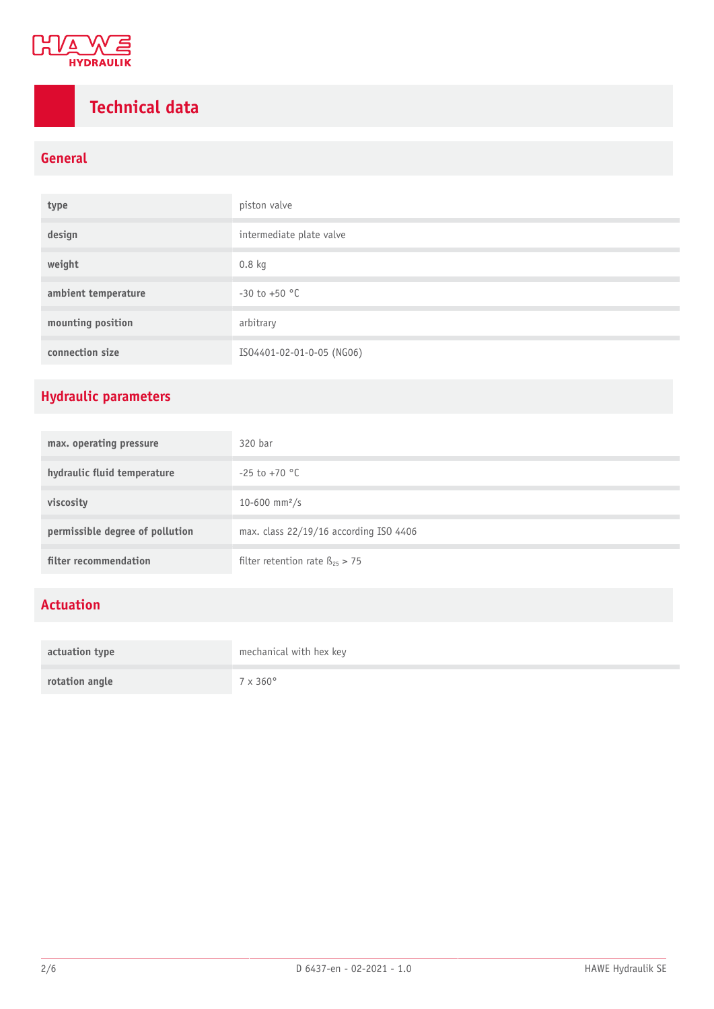

## <span id="page-1-0"></span>**Technical data**

#### **General**

| type                | piston valve              |  |
|---------------------|---------------------------|--|
| design              | intermediate plate valve  |  |
| weight              | $0.8$ kg                  |  |
| ambient temperature | $-30$ to $+50$ °C         |  |
| mounting position   | arbitrary                 |  |
| connection size     | IS04401-02-01-0-05 (NG06) |  |

### **Hydraulic parameters**

| max. operating pressure         | 320 bar                                 |  |
|---------------------------------|-----------------------------------------|--|
| hydraulic fluid temperature     | $-25$ to $+70$ °C                       |  |
| viscosity                       | 10-600 mm <sup>2</sup> /s               |  |
| permissible degree of pollution | max. class 22/19/16 according ISO 4406  |  |
| filter recommendation           | filter retention rate $\beta_{25} > 75$ |  |

#### **Actuation**

| actuation type | mechanical with hex key |  |
|----------------|-------------------------|--|
| rotation angle | $7 \times 360^\circ$    |  |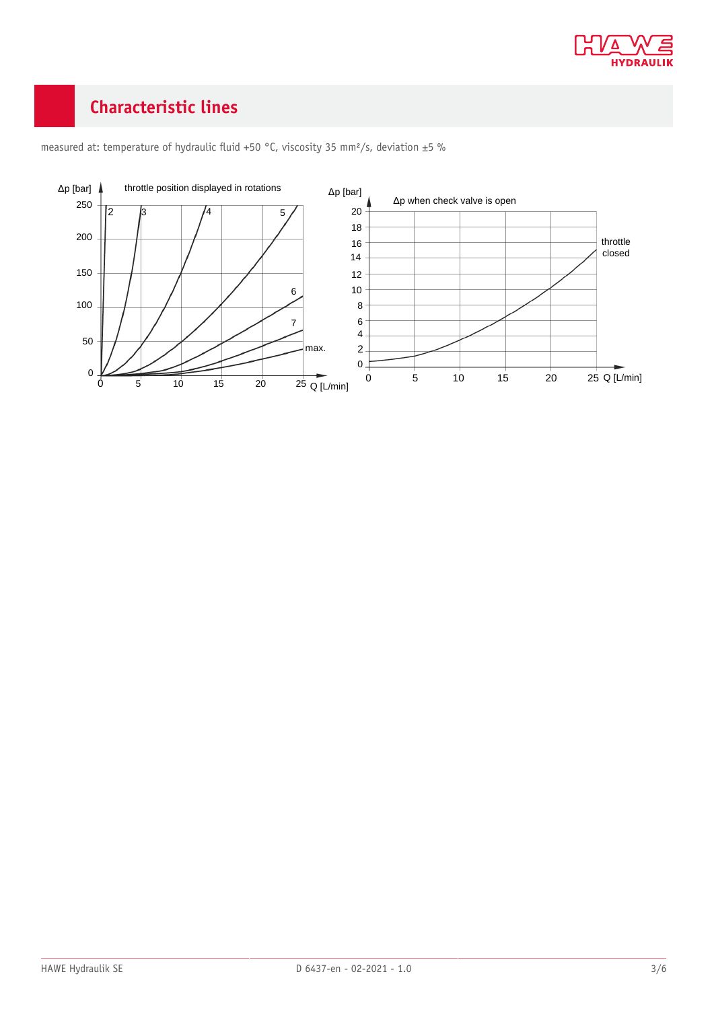

### <span id="page-2-0"></span>**Characteristic lines**



measured at: temperature of hydraulic fluid +50 °C, viscosity 35 mm<sup>2</sup>/s, deviation ±5 %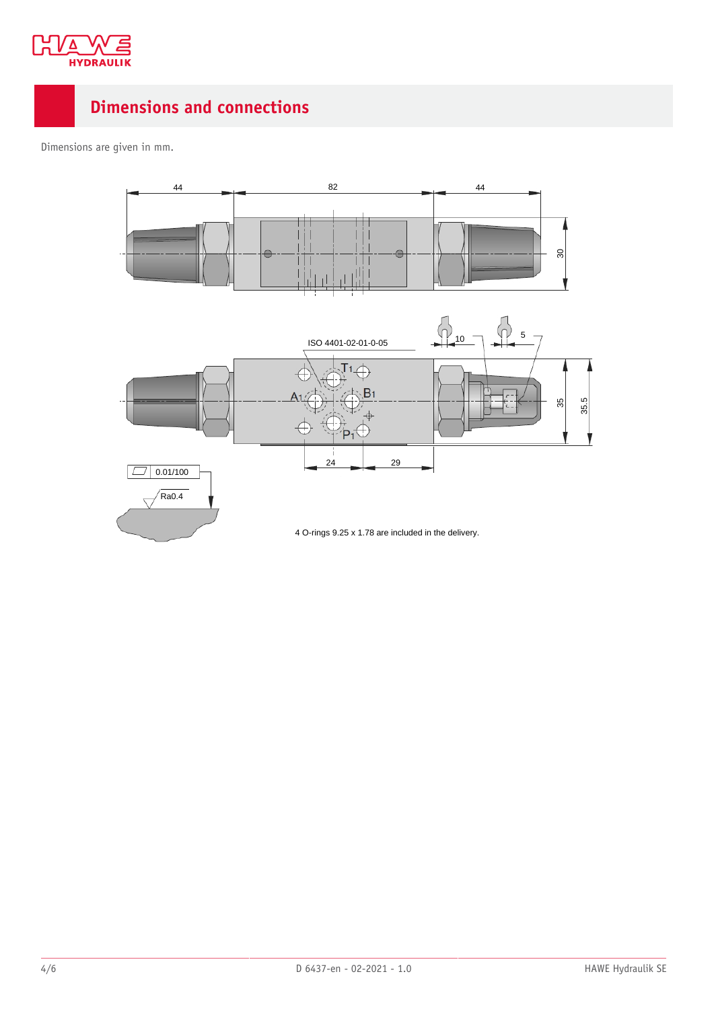

### <span id="page-3-0"></span>**Dimensions and connections**

Dimensions are given in mm.

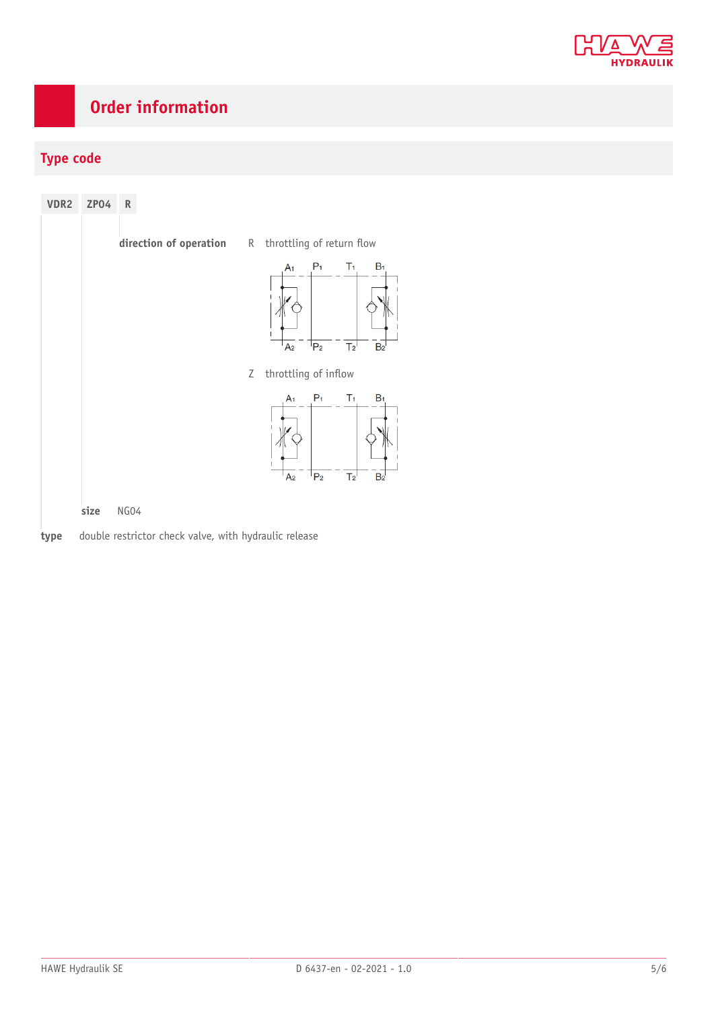

### <span id="page-4-0"></span>**Order information**

#### **Type code**

| VDR2 | <b>ZP04</b><br>${\sf R}$                              |                                                                                                                            |
|------|-------------------------------------------------------|----------------------------------------------------------------------------------------------------------------------------|
|      |                                                       | direction of operation R throttling of return flow                                                                         |
|      |                                                       | $P_1$<br>T <sub>1</sub><br>$B_1$<br>A <sub>1</sub><br>$P_2$<br>T <sub>2</sub><br>B <sub>2</sub><br>A <sub>2</sub>          |
|      |                                                       | throttling of inflow<br>Ζ                                                                                                  |
|      |                                                       | $P_1$<br>T <sub>1</sub><br>$B_1$<br>A <sub>1</sub><br>P <sub>2</sub><br>T <sub>2</sub><br>B <sub>2</sub><br>A <sub>2</sub> |
|      | NG04<br>size                                          |                                                                                                                            |
| type | double restrictor check valve, with hydraulic release |                                                                                                                            |